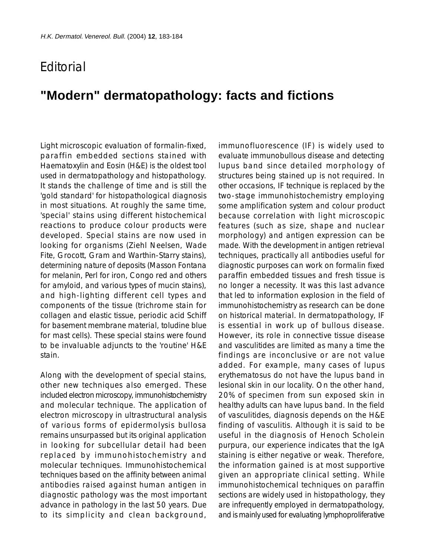## **F**ditorial

## **"Modern" dermatopathology: facts and fictions**

Light microscopic evaluation of formalin-fixed, paraffin embedded sections stained with Haematoxylin and Eosin (H&E) is the oldest tool used in dermatopathology and histopathology. It stands the challenge of time and is still the 'gold standard' for histopathological diagnosis in most situations. At roughly the same time, 'special' stains using different histochemical reactions to produce colour products were developed. Special stains are now used in looking for organisms (Ziehl Neelsen, Wade Fite, Grocott, Gram and Warthin-Starry stains), determining nature of deposits (Masson Fontana for melanin, Perl for iron, Congo red and others for amyloid, and various types of mucin stains), and high-lighting different cell types and components of the tissue (trichrome stain for collagen and elastic tissue, periodic acid Schiff for basement membrane material, toludine blue for mast cells). These special stains were found to be invaluable adjuncts to the 'routine' H&E stain.

Along with the development of special stains, other new techniques also emerged. These included electron microscopy, immunohistochemistry and molecular technique. The application of electron microscopy in ultrastructural analysis of various forms of epidermolysis bullosa remains unsurpassed but its original application in looking for subcellular detail had been replaced by immunohistochemistry and molecular techniques. Immunohistochemical techniques based on the affinity between animal antibodies raised against human antigen in diagnostic pathology was the most important advance in pathology in the last 50 years. Due to its simplicity and clean background,

immunofluorescence (IF) is widely used to evaluate immunobullous disease and detecting lupus band since detailed morphology of structures being stained up is not required. In other occasions, IF technique is replaced by the two-stage immunohistochemistry employing some amplification system and colour product because correlation with light microscopic features (such as size, shape and nuclear morphology) and antigen expression can be made. With the development in antigen retrieval techniques, practically all antibodies useful for diagnostic purposes can work on formalin fixed paraffin embedded tissues and fresh tissue is no longer a necessity. It was this last advance that led to information explosion in the field of immunohistochemistry as research can be done on historical material. In dermatopathology, IF is essential in work up of bullous disease. However, its role in connective tissue disease and vasculitides are limited as many a time the findings are inconclusive or are not value added. For example, many cases of lupus erythematosus do not have the lupus band in lesional skin in our locality. On the other hand, 20% of specimen from sun exposed skin in healthy adults can have lupus band. In the field of vasculitides, diagnosis depends on the H&E finding of vasculitis. Although it is said to be useful in the diagnosis of Henoch Scholein purpura, our experience indicates that the IgA staining is either negative or weak. Therefore, the information gained is at most supportive given an appropriate clinical setting. While immunohistochemical techniques on paraffin sections are widely used in histopathology, they are infrequently employed in dermatopathology, and is mainly used for evaluating lymphoproliferative